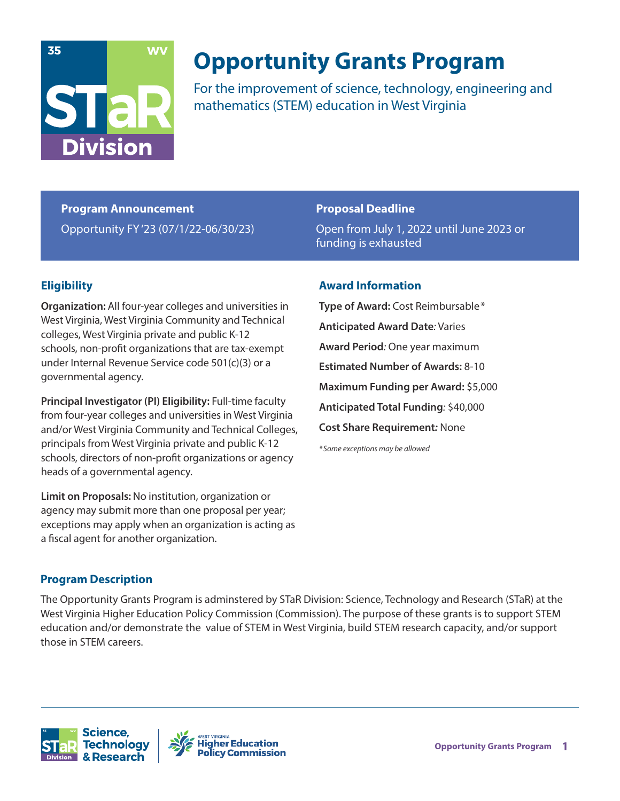

# **Opportunity Grants Program**

For the improvement of science, technology, engineering and mathematics (STEM) education in West Virginia

**Program Announcement** Opportunity FY '23 (07/1/22-06/30/23)

### **Proposal Deadline**

Open from July 1, 2022 until June 2023 or funding is exhausted

## **Eligibility**

**Organization:** All four-year colleges and universities in West Virginia, West Virginia Community and Technical colleges, West Virginia private and public K-12 schools, non-profit organizations that are tax-exempt under Internal Revenue Service code 501(c)(3) or a governmental agency.

**Principal Investigator (PI) Eligibility:** Full-time faculty from four-year colleges and universities in West Virginia and/or West Virginia Community and Technical Colleges, principals from West Virginia private and public K-12 schools, directors of non-profit organizations or agency heads of a governmental agency.

**Limit on Proposals:** No institution, organization or agency may submit more than one proposal per year; exceptions may apply when an organization is acting as a fiscal agent for another organization.

## **Award Information**

**Type of Award:** Cost Reimbursable \* **Anticipated Award Date***:* Varies **Award Period***:* One year maximum **Estimated Number of Awards:** 8-10 **Maximum Funding per Award:** \$5,000 **Anticipated Total Funding***:* \$40,000 **Cost Share Requirement***:* None

*\* Some exceptions may be allowed*

## **Program Description**

The Opportunity Grants Program is adminstered by STaR Division: Science, Technology and Research (STaR) at the West Virginia Higher Education Policy Commission (Commission). The purpose of these grants is to support STEM education and/or demonstrate the value of STEM in West Virginia, build STEM research capacity, and/or support those in STEM careers.



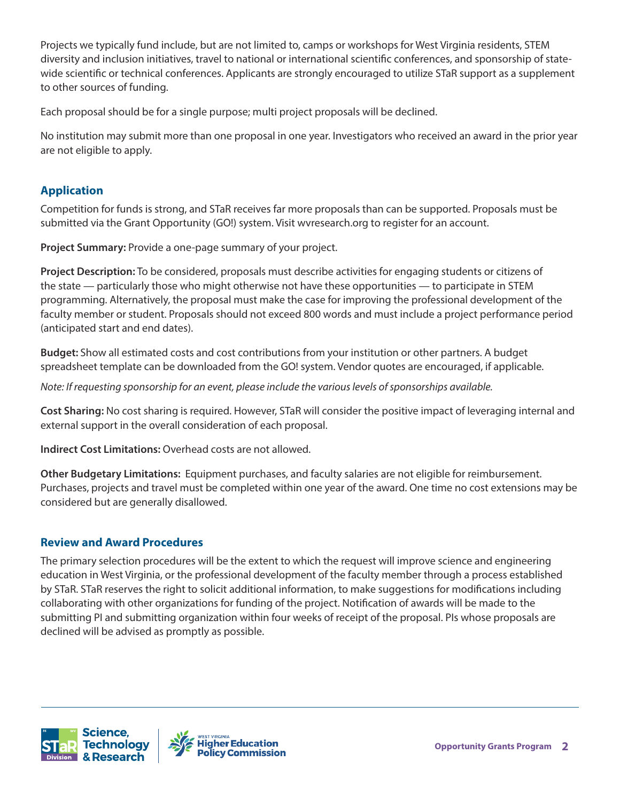Projects we typically fund include, but are not limited to, camps or workshops for West Virginia residents, STEM diversity and inclusion initiatives, travel to national or international scientific conferences, and sponsorship of statewide scientific or technical conferences. Applicants are strongly encouraged to utilize STaR support as a supplement to other sources of funding.

Each proposal should be for a single purpose; multi project proposals will be declined.

No institution may submit more than one proposal in one year. Investigators who received an award in the prior year are not eligible to apply.

## **Application**

Competition for funds is strong, and STaR receives far more proposals than can be supported. Proposals must be submitted via the Grant Opportunity (GO!) system. Visit wvresearch.org to register for an account.

**Project Summary:** Provide a one-page summary of your project.

**Project Description:** To be considered, proposals must describe activities for engaging students or citizens of the state — particularly those who might otherwise not have these opportunities — to participate in STEM programming. Alternatively, the proposal must make the case for improving the professional development of the faculty member or student. Proposals should not exceed 800 words and must include a project performance period (anticipated start and end dates).

**Budget:** Show all estimated costs and cost contributions from your institution or other partners. A budget spreadsheet template can be downloaded from the GO! system. Vendor quotes are encouraged, if applicable.

*Note: If requesting sponsorship for an event, please include the various levels of sponsorships available.*

**Cost Sharing:** No cost sharing is required. However, STaR will consider the positive impact of leveraging internal and external support in the overall consideration of each proposal.

**Indirect Cost Limitations:** Overhead costs are not allowed.

**Other Budgetary Limitations:** Equipment purchases, and faculty salaries are not eligible for reimbursement. Purchases, projects and travel must be completed within one year of the award. One time no cost extensions may be considered but are generally disallowed.

## **Review and Award Procedures**

The primary selection procedures will be the extent to which the request will improve science and engineering education in West Virginia, or the professional development of the faculty member through a process established by STaR. STaR reserves the right to solicit additional information, to make suggestions for modifications including collaborating with other organizations for funding of the project. Notification of awards will be made to the submitting PI and submitting organization within four weeks of receipt of the proposal. PIs whose proposals are declined will be advised as promptly as possible.